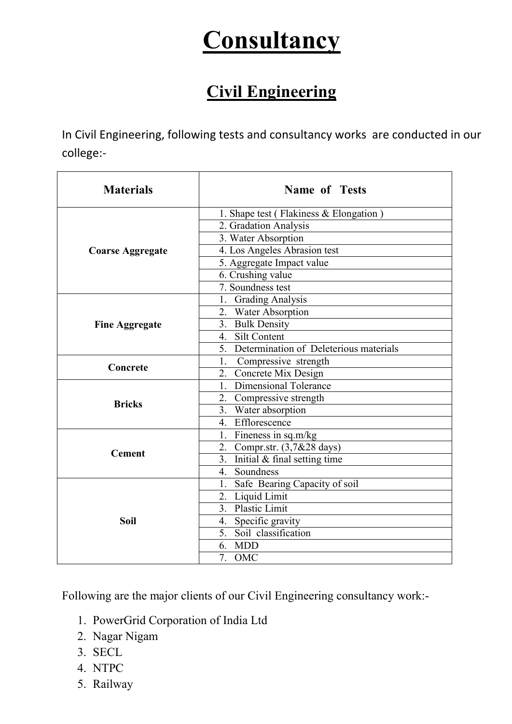## **Consultancy**

## Civil Engineering

In Civil Engineering, following tests and consultancy works are conducted in our college:-

| <b>Materials</b>        | <b>Name of Tests</b>                          |
|-------------------------|-----------------------------------------------|
| <b>Coarse Aggregate</b> | 1. Shape test (Flakiness & Elongation)        |
|                         | 2. Gradation Analysis                         |
|                         | 3. Water Absorption                           |
|                         | 4. Los Angeles Abrasion test                  |
|                         | 5. Aggregate Impact value                     |
|                         | 6. Crushing value                             |
|                         | 7. Soundness test                             |
| <b>Fine Aggregate</b>   | 1. Grading Analysis                           |
|                         | 2. Water Absorption                           |
|                         | 3. Bulk Density                               |
|                         | 4. Silt Content                               |
|                         | 5. Determination of Deleterious materials     |
| Concrete                | 1.<br>Compressive strength                    |
|                         | 2. Concrete Mix Design                        |
| <b>Bricks</b>           | 1. Dimensional Tolerance                      |
|                         | 2. Compressive strength                       |
|                         | 3. Water absorption                           |
|                         | 4. Efflorescence                              |
| <b>Cement</b>           | 1. Fineness in sq.m/kg                        |
|                         | 2. Compr.str. (3,7&28 days)                   |
|                         | $\overline{3}$ . Initial & final setting time |
|                         | Soundness<br>4.                               |
| <b>Soil</b>             | 1. Safe Bearing Capacity of soil              |
|                         | 2. Liquid Limit                               |
|                         | 3. Plastic Limit                              |
|                         | 4. Specific gravity                           |
|                         | 5. Soil classification                        |
|                         | 6. MDD                                        |
|                         | 7. OMC                                        |

Following are the major clients of our Civil Engineering consultancy work:-

- 1. PowerGrid Corporation of India Ltd
- 2. Nagar Nigam
- 3. SECL
- 4. NTPC
- 5. Railway